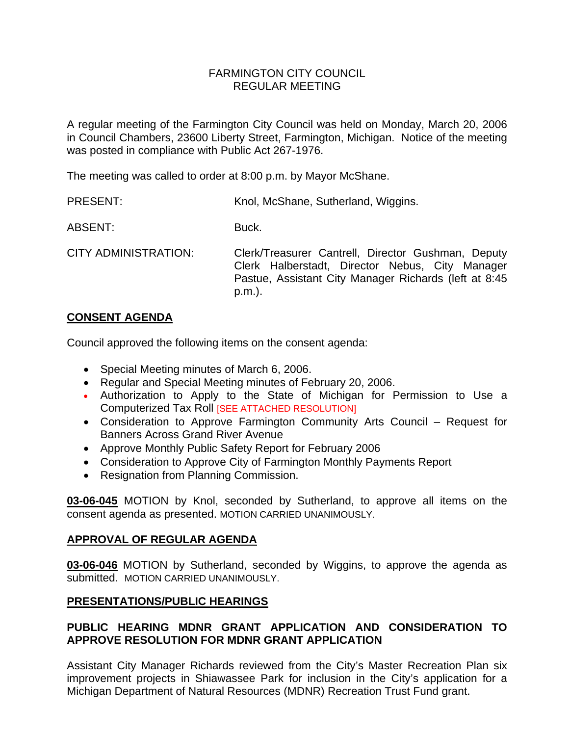### FARMINGTON CITY COUNCIL REGULAR MEETING

A regular meeting of the Farmington City Council was held on Monday, March 20, 2006 in Council Chambers, 23600 Liberty Street, Farmington, Michigan. Notice of the meeting was posted in compliance with Public Act 267-1976.

The meeting was called to order at 8:00 p.m. by Mayor McShane.

ABSENT: Buck.

CITY ADMINISTRATION: Clerk/Treasurer Cantrell, Director Gushman, Deputy Clerk Halberstadt, Director Nebus, City Manager Pastue, Assistant City Manager Richards (left at 8:45 p.m.).

# **CONSENT AGENDA**

Council approved the following items on the consent agenda:

- Special Meeting minutes of March 6, 2006.
- Regular and Special Meeting minutes of February 20, 2006.
- Authorization to Apply to the State of Michigan for Permission to Use a Computerized Tax Roll [SEE ATTACHED RESOLUTION]
- Consideration to Approve Farmington Community Arts Council Request for Banners Across Grand River Avenue
- Approve Monthly Public Safety Report for February 2006
- Consideration to Approve City of Farmington Monthly Payments Report
- Resignation from Planning Commission.

**03-06-045** MOTION by Knol, seconded by Sutherland, to approve all items on the consent agenda as presented. MOTION CARRIED UNANIMOUSLY.

# **APPROVAL OF REGULAR AGENDA**

**03-06-046** MOTION by Sutherland, seconded by Wiggins, to approve the agenda as submitted. MOTION CARRIED UNANIMOUSLY.

# **PRESENTATIONS/PUBLIC HEARINGS**

# **PUBLIC HEARING MDNR GRANT APPLICATION AND CONSIDERATION TO APPROVE RESOLUTION FOR MDNR GRANT APPLICATION**

Assistant City Manager Richards reviewed from the City's Master Recreation Plan six improvement projects in Shiawassee Park for inclusion in the City's application for a Michigan Department of Natural Resources (MDNR) Recreation Trust Fund grant.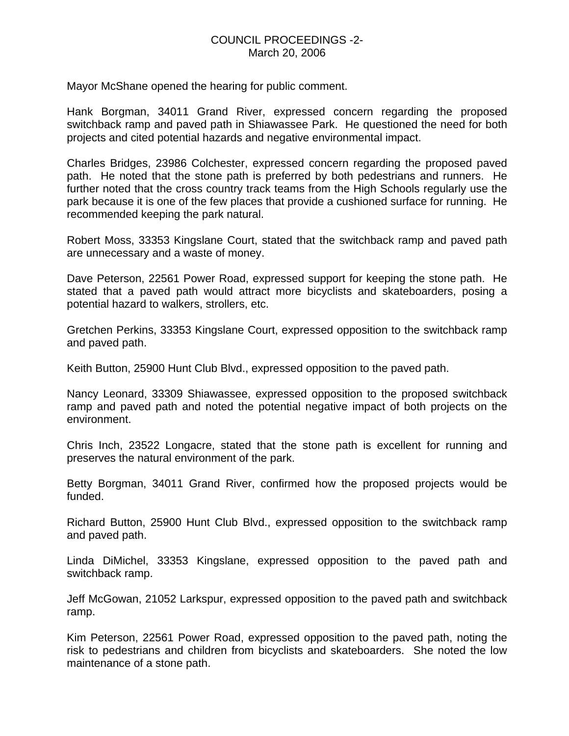Mayor McShane opened the hearing for public comment.

Hank Borgman, 34011 Grand River, expressed concern regarding the proposed switchback ramp and paved path in Shiawassee Park. He questioned the need for both projects and cited potential hazards and negative environmental impact.

Charles Bridges, 23986 Colchester, expressed concern regarding the proposed paved path. He noted that the stone path is preferred by both pedestrians and runners. He further noted that the cross country track teams from the High Schools regularly use the park because it is one of the few places that provide a cushioned surface for running. He recommended keeping the park natural.

Robert Moss, 33353 Kingslane Court, stated that the switchback ramp and paved path are unnecessary and a waste of money.

Dave Peterson, 22561 Power Road, expressed support for keeping the stone path. He stated that a paved path would attract more bicyclists and skateboarders, posing a potential hazard to walkers, strollers, etc.

Gretchen Perkins, 33353 Kingslane Court, expressed opposition to the switchback ramp and paved path.

Keith Button, 25900 Hunt Club Blvd., expressed opposition to the paved path.

Nancy Leonard, 33309 Shiawassee, expressed opposition to the proposed switchback ramp and paved path and noted the potential negative impact of both projects on the environment.

Chris Inch, 23522 Longacre, stated that the stone path is excellent for running and preserves the natural environment of the park.

Betty Borgman, 34011 Grand River, confirmed how the proposed projects would be funded.

Richard Button, 25900 Hunt Club Blvd., expressed opposition to the switchback ramp and paved path.

Linda DiMichel, 33353 Kingslane, expressed opposition to the paved path and switchback ramp.

Jeff McGowan, 21052 Larkspur, expressed opposition to the paved path and switchback ramp.

Kim Peterson, 22561 Power Road, expressed opposition to the paved path, noting the risk to pedestrians and children from bicyclists and skateboarders. She noted the low maintenance of a stone path.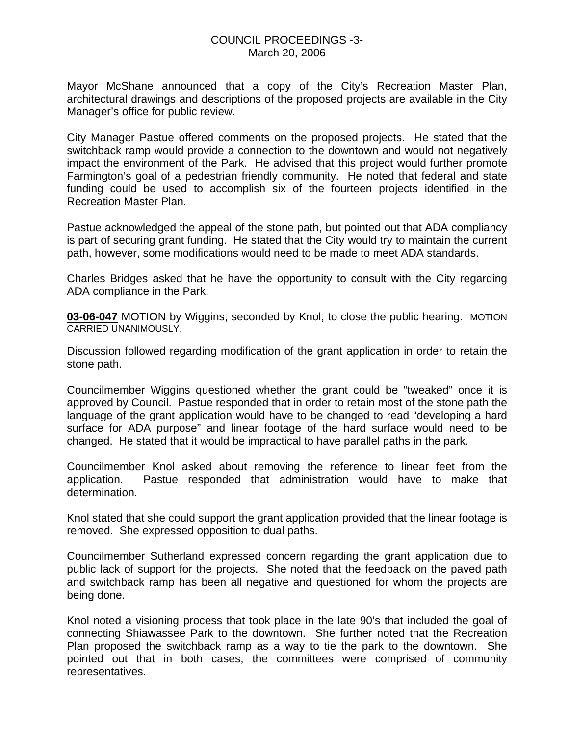Mayor McShane announced that a copy of the City's Recreation Master Plan, architectural drawings and descriptions of the proposed projects are available in the City Manager's office for public review.

City Manager Pastue offered comments on the proposed projects. He stated that the switchback ramp would provide a connection to the downtown and would not negatively impact the environment of the Park. He advised that this project would further promote Farmington's goal of a pedestrian friendly community. He noted that federal and state funding could be used to accomplish six of the fourteen projects identified in the Recreation Master Plan.

Pastue acknowledged the appeal of the stone path, but pointed out that ADA compliancy is part of securing grant funding. He stated that the City would try to maintain the current path, however, some modifications would need to be made to meet ADA standards.

Charles Bridges asked that he have the opportunity to consult with the City regarding ADA compliance in the Park.

**03-06-047** MOTION by Wiggins, seconded by Knol, to close the public hearing. MOTION CARRIED UNANIMOUSLY.

Discussion followed regarding modification of the grant application in order to retain the stone path.

Councilmember Wiggins questioned whether the grant could be "tweaked" once it is approved by Council. Pastue responded that in order to retain most of the stone path the language of the grant application would have to be changed to read "developing a hard surface for ADA purpose" and linear footage of the hard surface would need to be changed. He stated that it would be impractical to have parallel paths in the park.

Councilmember Knol asked about removing the reference to linear feet from the application. Pastue responded that administration would have to make that determination.

Knol stated that she could support the grant application provided that the linear footage is removed. She expressed opposition to dual paths.

Councilmember Sutherland expressed concern regarding the grant application due to public lack of support for the projects. She noted that the feedback on the paved path and switchback ramp has been all negative and questioned for whom the projects are being done.

Knol noted a visioning process that took place in the late 90's that included the goal of connecting Shiawassee Park to the downtown. She further noted that the Recreation Plan proposed the switchback ramp as a way to tie the park to the downtown. She pointed out that in both cases, the committees were comprised of community representatives.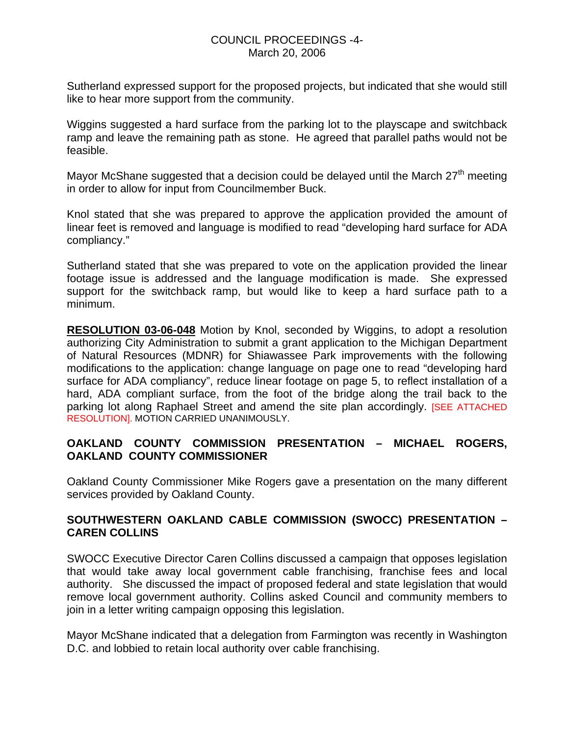### COUNCIL PROCEEDINGS -4- March 20, 2006

Sutherland expressed support for the proposed projects, but indicated that she would still like to hear more support from the community.

Wiggins suggested a hard surface from the parking lot to the playscape and switchback ramp and leave the remaining path as stone. He agreed that parallel paths would not be feasible.

Mayor McShane suggested that a decision could be delayed until the March  $27<sup>th</sup>$  meeting in order to allow for input from Councilmember Buck.

Knol stated that she was prepared to approve the application provided the amount of linear feet is removed and language is modified to read "developing hard surface for ADA compliancy."

Sutherland stated that she was prepared to vote on the application provided the linear footage issue is addressed and the language modification is made. She expressed support for the switchback ramp, but would like to keep a hard surface path to a minimum.

**RESOLUTION 03-06-048** Motion by Knol, seconded by Wiggins, to adopt a resolution authorizing City Administration to submit a grant application to the Michigan Department of Natural Resources (MDNR) for Shiawassee Park improvements with the following modifications to the application: change language on page one to read "developing hard surface for ADA compliancy", reduce linear footage on page 5, to reflect installation of a hard, ADA compliant surface, from the foot of the bridge along the trail back to the parking lot along Raphael Street and amend the site plan accordingly. [SEE ATTACHED RESOLUTION]. MOTION CARRIED UNANIMOUSLY.

# **OAKLAND COUNTY COMMISSION PRESENTATION – MICHAEL ROGERS, OAKLAND COUNTY COMMISSIONER**

Oakland County Commissioner Mike Rogers gave a presentation on the many different services provided by Oakland County.

# **SOUTHWESTERN OAKLAND CABLE COMMISSION (SWOCC) PRESENTATION – CAREN COLLINS**

SWOCC Executive Director Caren Collins discussed a campaign that opposes legislation that would take away local government cable franchising, franchise fees and local authority. She discussed the impact of proposed federal and state legislation that would remove local government authority. Collins asked Council and community members to join in a letter writing campaign opposing this legislation.

Mayor McShane indicated that a delegation from Farmington was recently in Washington D.C. and lobbied to retain local authority over cable franchising.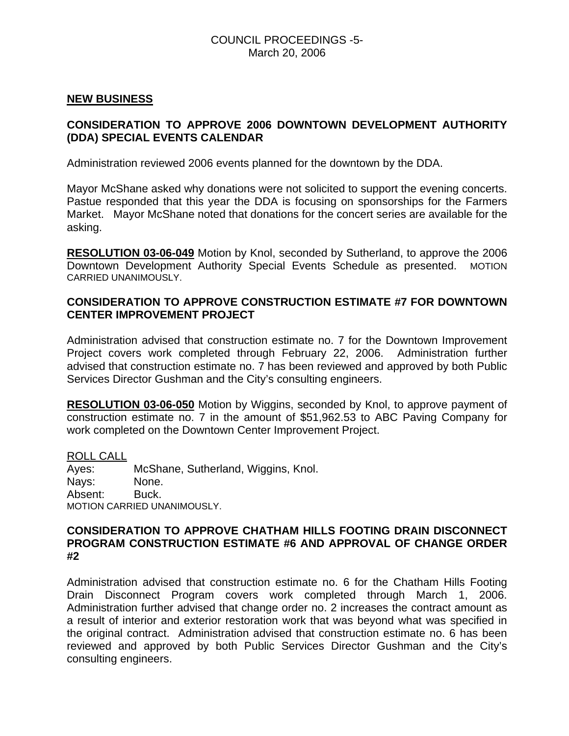### COUNCIL PROCEEDINGS -5- March 20, 2006

### **NEW BUSINESS**

# **CONSIDERATION TO APPROVE 2006 DOWNTOWN DEVELOPMENT AUTHORITY (DDA) SPECIAL EVENTS CALENDAR**

Administration reviewed 2006 events planned for the downtown by the DDA.

Mayor McShane asked why donations were not solicited to support the evening concerts. Pastue responded that this year the DDA is focusing on sponsorships for the Farmers Market. Mayor McShane noted that donations for the concert series are available for the asking.

**RESOLUTION 03-06-049** Motion by Knol, seconded by Sutherland, to approve the 2006 Downtown Development Authority Special Events Schedule as presented. MOTION CARRIED UNANIMOUSLY.

### **CONSIDERATION TO APPROVE CONSTRUCTION ESTIMATE #7 FOR DOWNTOWN CENTER IMPROVEMENT PROJECT**

Administration advised that construction estimate no. 7 for the Downtown Improvement Project covers work completed through February 22, 2006. Administration further advised that construction estimate no. 7 has been reviewed and approved by both Public Services Director Gushman and the City's consulting engineers.

**RESOLUTION 03-06-050** Motion by Wiggins, seconded by Knol, to approve payment of construction estimate no. 7 in the amount of \$51,962.53 to ABC Paving Company for work completed on the Downtown Center Improvement Project.

ROLL CALL Ayes: McShane, Sutherland, Wiggins, Knol. Nays: None. Absent: Buck. MOTION CARRIED UNANIMOUSLY.

#### **CONSIDERATION TO APPROVE CHATHAM HILLS FOOTING DRAIN DISCONNECT PROGRAM CONSTRUCTION ESTIMATE #6 AND APPROVAL OF CHANGE ORDER #2**

Administration advised that construction estimate no. 6 for the Chatham Hills Footing Drain Disconnect Program covers work completed through March 1, 2006. Administration further advised that change order no. 2 increases the contract amount as a result of interior and exterior restoration work that was beyond what was specified in the original contract. Administration advised that construction estimate no. 6 has been reviewed and approved by both Public Services Director Gushman and the City's consulting engineers.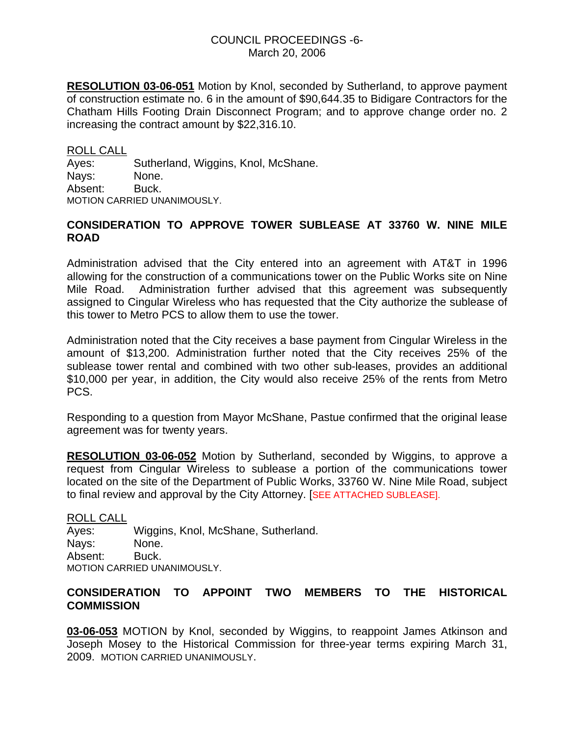**RESOLUTION 03-06-051** Motion by Knol, seconded by Sutherland, to approve payment of construction estimate no. 6 in the amount of \$90,644.35 to Bidigare Contractors for the Chatham Hills Footing Drain Disconnect Program; and to approve change order no. 2 increasing the contract amount by \$22,316.10.

ROLL CALL Ayes: Sutherland, Wiggins, Knol, McShane. Nays: None. Absent: Buck. MOTION CARRIED UNANIMOUSLY.

### **CONSIDERATION TO APPROVE TOWER SUBLEASE AT 33760 W. NINE MILE ROAD**

Administration advised that the City entered into an agreement with AT&T in 1996 allowing for the construction of a communications tower on the Public Works site on Nine Mile Road. Administration further advised that this agreement was subsequently assigned to Cingular Wireless who has requested that the City authorize the sublease of this tower to Metro PCS to allow them to use the tower.

Administration noted that the City receives a base payment from Cingular Wireless in the amount of \$13,200. Administration further noted that the City receives 25% of the sublease tower rental and combined with two other sub-leases, provides an additional \$10,000 per year, in addition, the City would also receive 25% of the rents from Metro PCS.

Responding to a question from Mayor McShane, Pastue confirmed that the original lease agreement was for twenty years.

**RESOLUTION 03-06-052** Motion by Sutherland, seconded by Wiggins, to approve a request from Cingular Wireless to sublease a portion of the communications tower located on the site of the Department of Public Works, 33760 W. Nine Mile Road, subject to final review and approval by the City Attorney. [SEE ATTACHED SUBLEASE].

ROLL CALL Ayes: Wiggins, Knol, McShane, Sutherland. Nays: None. Absent: Buck. MOTION CARRIED UNANIMOUSLY.

# **CONSIDERATION TO APPOINT TWO MEMBERS TO THE HISTORICAL COMMISSION**

**03-06-053** MOTION by Knol, seconded by Wiggins, to reappoint James Atkinson and Joseph Mosey to the Historical Commission for three-year terms expiring March 31, 2009. MOTION CARRIED UNANIMOUSLY.